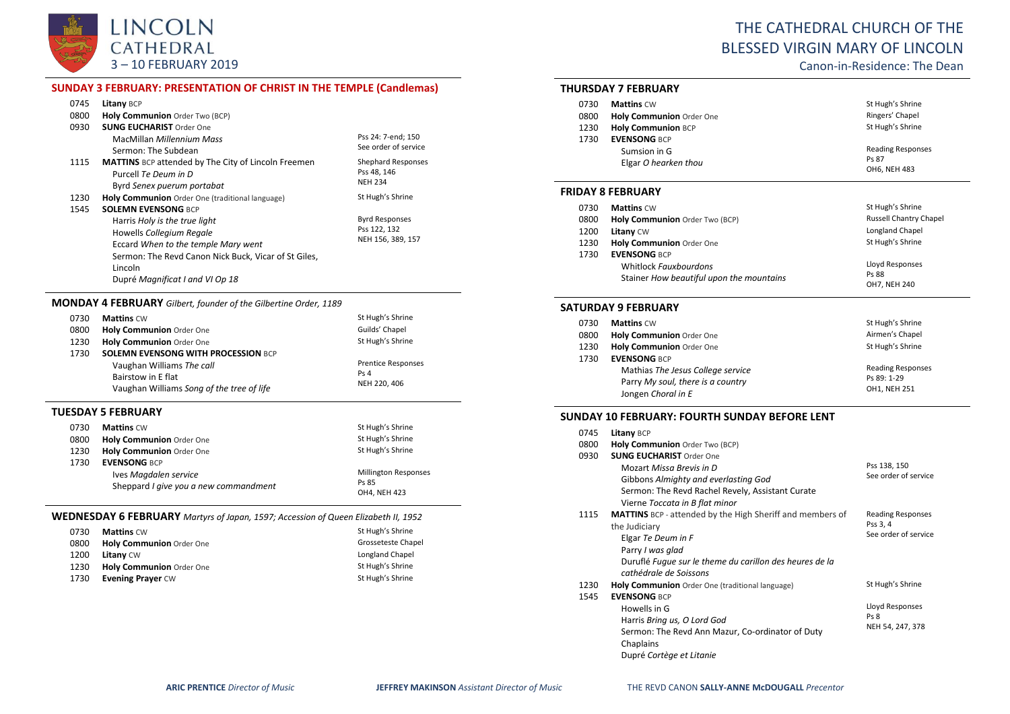

# THE CATHEDRAL CHURCH OF THE BLESSED VIRGIN MARY OF LINCOLN

Canon-in-Residence: The Dean

## **SUNDAY 3 FEBRUARY: PRESENTATION OF CHRIST IN THE TEMPLE (Candlemas)**

| 0745 | Litany BCP                                                 |                       |
|------|------------------------------------------------------------|-----------------------|
| 0800 | Holy Communion Order Two (BCP)                             |                       |
| 0930 | <b>SUNG EUCHARIST Order One</b>                            |                       |
|      | MacMillan <i>Millennium Mass</i>                           | Pss 24: 7-end; 150    |
|      | Sermon: The Subdean                                        | See order of service  |
| 1115 | <b>MATTINS</b> BCP attended by The City of Lincoln Freemen | Shephard Responses    |
|      | Purcell Te Deum in D                                       | Pss 48, 146           |
|      | Byrd Senex puerum portabat                                 | <b>NEH 234</b>        |
| 1230 | Holy Communion Order One (traditional language)            | St Hugh's Shrine      |
| 1545 | <b>SOLEMN EVENSONG BCP</b>                                 |                       |
|      | Harris Holy is the true light                              | <b>Byrd Responses</b> |
|      | Howells Collegium Regale                                   | Pss 122, 132          |
|      | Eccard When to the temple Mary went                        | NEH 156, 389, 157     |
|      | Sermon: The Revd Canon Nick Buck, Vicar of St Giles,       |                       |
|      | Lincoln                                                    |                       |
|      | Dupré Magnificat I and VI Op 18                            |                       |

#### **MONDAY 4 FEBRUARY** *Gilbert, founder of the Gilbertine Order, 1189*

| 0730 | <b>Mattins CW</b>                          | St Hugh's Shrine          |
|------|--------------------------------------------|---------------------------|
| 0800 | <b>Holy Communion Order One</b>            | Guilds' Chapel            |
| 1230 | Holy Communion Order One                   | St Hugh's Shrine          |
| 1730 | <b>SOLEMN EVENSONG WITH PROCESSION BCP</b> |                           |
|      | Vaughan Williams The call                  | <b>Prentice Responses</b> |
|      | Bairstow in E flat                         | Ps <sub>4</sub>           |
|      | Vaughan Williams Song of the tree of life  | NEH 220, 406              |
|      |                                            |                           |

#### **TUESDAY 5 FEBRUARY**

| 0730 | <b>Mattins CW</b>                     | St Hugh's Shrine            |
|------|---------------------------------------|-----------------------------|
| 0800 | Holy Communion Order One              | St Hugh's Shrine            |
| 1230 | Holy Communion Order One              | St Hugh's Shrine            |
| 1730 | <b>EVENSONG BCP</b>                   |                             |
|      | Ives Magdalen service                 | <b>Millington Responses</b> |
|      | Sheppard I give you a new commandment | Ps 85                       |
|      |                                       | <b>OH4 NFH 423</b>          |

## **WEDNESDAY 6 FEBRUARY** *Martyrs of Japan, 1597; Accession of Queen Elizabeth II, 1952*

| 0730 | <b>Mattins CW</b>               | St Hugh's Shrine   |
|------|---------------------------------|--------------------|
| 0800 | <b>Holy Communion Order One</b> | Grosseteste Chapel |
| 1200 | <b>Litany CW</b>                | Longland Chapel    |
| 1230 | Holy Communion Order One        | St Hugh's Shrine   |
| 1730 | <b>Evening Prayer CW</b>        | St Hugh's Shrine   |

## **THURSDAY 7 FEBRUARY**

| <b>Mattins CW</b>                    | St Hugh's Shrine                                  |
|--------------------------------------|---------------------------------------------------|
| Holy Communion Order One             | Ringers' Chapel                                   |
| <b>Holy Communion BCP</b>            | St Hugh's Shrine                                  |
| <b>EVENSONG BCP</b>                  |                                                   |
| Sumsion in G<br>Elgar O hearken thou | <b>Reading Responses</b><br>Ps 87<br>OH6, NEH 483 |
|                                      |                                                   |

#### **FRIDAY 8 FEBRUARY**

| 0730 | <b>Mattins CW</b>                        | St Hugh's Shrine              |
|------|------------------------------------------|-------------------------------|
| 0800 | Holy Communion Order Two (BCP)           | <b>Russell Chantry Chapel</b> |
| 1200 | <b>Litany CW</b>                         | Longland Chapel               |
| 1230 | Holy Communion Order One                 | St Hugh's Shrine              |
| 1730 | <b>EVENSONG BCP</b>                      |                               |
|      | Whitlock Fauxbourdons                    | Lloyd Responses               |
|      | Stainer How beautiful upon the mountains | Ps 88                         |
|      |                                          | OH7, NEH 240                  |

#### **SATURDAY 9 FEBRUARY**

| 0730 | <b>Mattins CW</b>                 | St Hugh's Shrine         |
|------|-----------------------------------|--------------------------|
| 0800 | Holy Communion Order One          | Airmen's Chapel          |
| 1230 | Holy Communion Order One          | St Hugh's Shrine         |
| 1730 | <b>EVENSONG BCP</b>               |                          |
|      | Mathias The Jesus College service | <b>Reading Responses</b> |
|      | Parry My soul, there is a country | Ps 89: 1-29              |
|      | Jongen Choral in E                | OH1. NEH 251             |

#### **SUNDAY 10 FEBRUARY: FOURTH SUNDAY BEFORE LENT**

| 0745 | <b>Litany BCP</b>                                                |                          |
|------|------------------------------------------------------------------|--------------------------|
| 0800 | Holy Communion Order Two (BCP)                                   |                          |
| 0930 | <b>SUNG EUCHARIST Order One</b>                                  |                          |
|      | Mozart Missa Brevis in D                                         | Pss 138, 150             |
|      | Gibbons Almighty and everlasting God                             | See order of service     |
|      | Sermon: The Revd Rachel Revely, Assistant Curate                 |                          |
|      | Vierne Toccata in B flat minor                                   |                          |
| 1115 | <b>MATTINS</b> BCP - attended by the High Sheriff and members of | <b>Reading Responses</b> |
|      | the Judiciary                                                    | Pss 3, 4                 |
|      | Elgar Te Deum in F                                               | See order of service     |
|      | Parry I was glad                                                 |                          |
|      | Duruflé Fugue sur le theme du carillon des heures de la          |                          |
|      | cathédrale de Soissons                                           |                          |
| 1230 | Holy Communion Order One (traditional language)                  | St Hugh's Shrine         |
| 1545 | <b>EVENSONG BCP</b>                                              |                          |
|      | Howells in G                                                     | Lloyd Responses          |
|      | Harris Bring us, O Lord God                                      | Ps <sub>8</sub>          |
|      | Sermon: The Revd Ann Mazur, Co-ordinator of Duty                 | NEH 54, 247, 378         |
|      | Chaplains                                                        |                          |
|      | Dupré Cortège et Litanie                                         |                          |